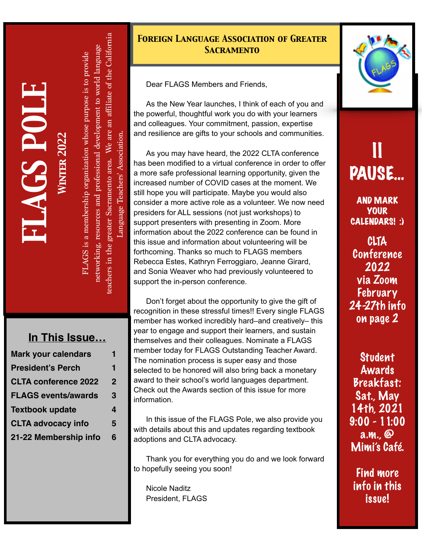*FLAGS POL E Winter 202 2* 

teachers in the greater Sacramento area. We are an affiliate of the California eachers in the greater Sacramento area. We are an affiliate of the California networking, resources and professional development to world language networking, resources and professional development to world language FLAGS is a membership organization whose purpose is to provide TLAGS is a membership organization whose purpose is to provide Language Teachers' Association. Language Teachers' Association.

#### **In This Issue…**

| <b>Mark your calendars</b>  |                |
|-----------------------------|----------------|
| <b>President's Perch</b>    | 1              |
| <b>CLTA conference 2022</b> | $\overline{2}$ |
| <b>FLAGS events/awards</b>  | 3              |
| <b>Textbook update</b>      | 4              |
| <b>CLTA advocacy info</b>   | 5              |
| 21-22 Membership info       | 6              |

#### *Foreign Language Association of Greater Sacramento*

Dear FLAGS Members and Friends,

As the New Year launches, I think of each of you and the powerful, thoughtful work you do with your learners and colleagues. Your commitment, passion, expertise and resilience are gifts to your schools and communities.

As you may have heard, the 2022 CLTA conference has been modified to a virtual conference in order to offer a more safe professional learning opportunity, given the increased number of COVID cases at the moment. We still hope you will participate. Maybe you would also consider a more active role as a volunteer. We now need presiders for ALL sessions (not just workshops) to support presenters with presenting in Zoom. More information about the 2022 conference can be found in this issue and information about volunteering will be forthcoming. Thanks so much to FLAGS members Rebecca Estes, Kathryn Ferroggiaro, Jeanne Girard, and Sonia Weaver who had previously volunteered to support the in-person conference.

Don't forget about the opportunity to give the gift of recognition in these stressful times!! Every single FLAGS member has worked incredibly hard–and creatively– this year to engage and support their learners, and sustain themselves and their colleagues. Nominate a FLAGS member today for FLAGS Outstanding Teacher Award. The nomination process is super easy and those selected to be honored will also bring back a monetary award to their school's world languages department. Check out the Awards section of this issue for more information.

In this issue of the FLAGS Pole, we also provide you with details about this and updates regarding textbook adoptions and CLTA advocacy.

Thank you for everything you do and we look forward to hopefully seeing you soon!

Nicole Naditz President, FLAGS



### II PAUSE…

AND MARK YOUR CALENDARS! :)

CLTA Conference 2022 via Zoom February 24-27th info on page 2

Student Awards Breakfast: Sat., May 14th, 2021 9:00 - 11:00 a.m., @ Mimi's Café.

Find more info in this issue!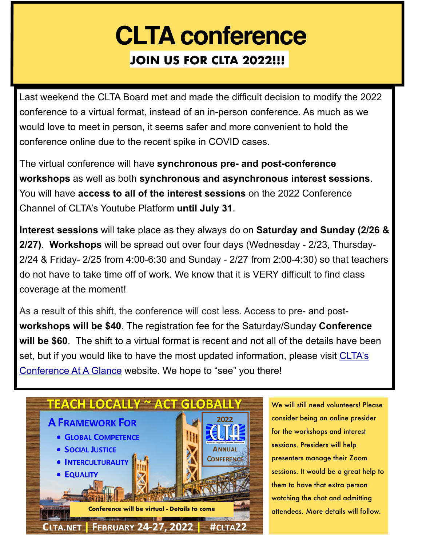## **CLTA conference JOIN US FOR CLTA 2022!!!**

Last weekend the CLTA Board met and made the difficult decision to modify the 2022 conference to a virtual format, instead of an in-person conference. As much as we would love to meet in person, it seems safer and more convenient to hold the conference online due to the recent spike in COVID cases.

The virtual conference will have **synchronous pre- and post-conference workshops** as well as both **synchronous and asynchronous interest sessions**. You will have **access to all of the interest sessions** on the 2022 Conference Channel of CLTA's Youtube Platform **until July 31**.

**Interest sessions** will take place as they always do on **Saturday and Sunday (2/26 & 2/27)**. **Workshops** will be spread out over four days (Wednesday - 2/23, Thursday-2/24 & Friday- 2/25 from 4:00-6:30 and Sunday - 2/27 from 2:00-4:30) so that teachers do not have to take time off of work. We know that it is VERY difficult to find class coverage at the moment!

As a result of this shift, the conference will cost less. Access to pre- and post**workshops will be \$40**. The registration fee for the Saturday/Sunday **Conference will be \$60**. The shift to a virtual format is recent and not all of the details have been set, but if you would like to have the most updated information, please visit CLTA's [Conference At A Glance](https://sites.google.com/clta.net/conference2022/conference-at-a-glance?authuser=0) website. We hope to "see" you there!



We will still need volunteers! Please consider being an online presider for the workshops and interest sessions. Presiders will help presenters manage their Zoom sessions. It would be a great help to them to have that extra person watching the chat and admitting attendees. More details will follow.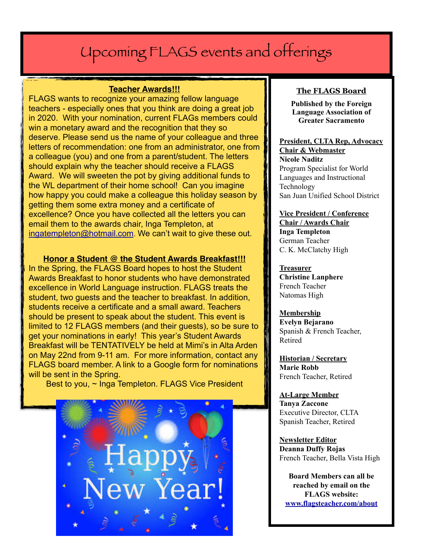### Upcoming FLAGS events and offerings

#### **Teacher Awards!!!**

FLAGS wants to recognize your amazing fellow language teachers - especially ones that you think are doing a great job in 2020. With your nomination, current FLAGs members could win a monetary award and the recognition that they so deserve. Please send us the name of your colleague and three letters of recommendation: one from an administrator, one from a colleague (you) and one from a parent/student. The letters should explain why the teacher should receive a FLAGS Award. We will sweeten the pot by giving additional funds to the WL department of their home school! Can you imagine how happy you could make a colleague this holiday season by getting them some extra money and a certificate of excellence? Once you have collected all the letters you can email them to the awards chair, Inga Templeton, at [ingatempleton@hotmail.com](mailto:ingatempleton@hotmail.com). We can't wait to give these out.

#### **Honor a Student @ the Student Awards Breakfast!!!**

In the Spring, the FLAGS Board hopes to host the Student Awards Breakfast to honor students who have demonstrated excellence in World Language instruction. FLAGS treats the student, two guests and the teacher to breakfast. In addition, students receive a certificate and a small award. Teachers should be present to speak about the student. This event is limited to 12 FLAGS members (and their guests), so be sure to get your nominations in early! This year's Student Awards Breakfast will be TENTATIVELY be held at Mimi's in Alta Arden on May 22nd from 9-11 am. For more information, contact any FLAGS board member. A link to a Google form for nominations will be sent in the Spring.

Best to you, ~ Inga Templeton. FLAGS Vice President



#### **The FLAGS Board**

**Published by the Foreign Language Association of Greater Sacramento**

#### **President, CLTA Rep, Advocacy Chair & Webmaster Nicole Naditz** Program Specialist for World Languages and Instructional Technology

San Juan Unified School District

#### **Vice President / Conference Chair / Awards Chair Inga Templeton**

German Teacher C. K. McClatchy High

#### **Treasurer**

**Christine Lanphere** French Teacher Natomas High

#### **Membership**

**Evelyn Bejarano** Spanish & French Teacher, Retired

**Historian / Secretary Marie Robb** French Teacher, Retired

#### **At-Large Member Tanya Zaccone** Executive Director, CLTA Spanish Teacher, Retired

**Newsletter Editor Deanna Duffy Rojas** French Teacher, Bella Vista High

**Board Members can all be reached by email on the FLAGS website: [www.flagsteacher.com/about](http://www.flagsteacher.com/about)**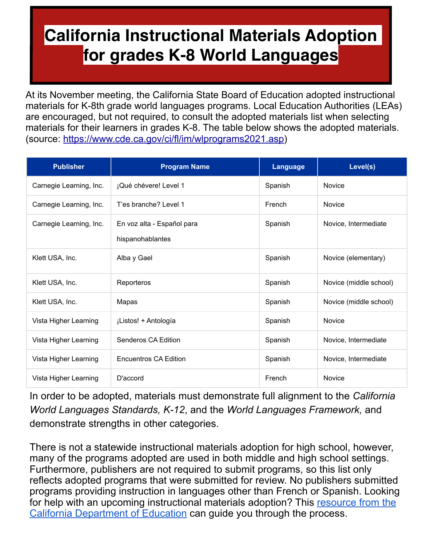### **California Instructional Materials Adoption for grades K-8 World Languages**

At its November meeting, the California State Board of Education adopted instructional materials for K-8th grade world languages programs. Local Education Authorities (LEAs) are encouraged, but not required, to consult the adopted materials list when selecting materials for their learners in grades K-8. The table below shows the adopted materials. (source: <https://www.cde.ca.gov/ci/fl/im/wlprograms2021.asp>)

| <b>Publisher</b>        | <b>Program Name</b>                            | Language | Level(s)               |
|-------------------------|------------------------------------------------|----------|------------------------|
| Carnegie Learning, Inc. | ¡Qué chévere! Level 1                          | Spanish  | <b>Novice</b>          |
| Carnegie Learning, Inc. | T'es branche? Level 1                          | French   | <b>Novice</b>          |
| Carnegie Learning, Inc. | En voz alta - Español para<br>hispanohablantes | Spanish  | Novice, Intermediate   |
| Klett USA, Inc.         | Alba y Gael                                    | Spanish  | Novice (elementary)    |
| Klett USA, Inc.         | Reporteros                                     | Spanish  | Novice (middle school) |
| Klett USA, Inc.         | Mapas                                          | Spanish  | Novice (middle school) |
| Vista Higher Learning   | ¡Listos! + Antología                           | Spanish  | <b>Novice</b>          |
| Vista Higher Learning   | Senderos CA Edition                            | Spanish  | Novice, Intermediate   |
| Vista Higher Learning   | <b>Encuentros CA Edition</b>                   | Spanish  | Novice, Intermediate   |
| Vista Higher Learning   | D'accord                                       | French   | <b>Novice</b>          |

In order to be adopted, materials must demonstrate full alignment to the *California World Languages Standards, K-12*, and the *World Languages Framework,* and demonstrate strengths in other categories.

There is not a statewide instructional materials adoption for high school, however, many of the programs adopted are used in both middle and high school settings. Furthermore, publishers are not required to submit programs, so this list only reflects adopted programs that were submitted for review. No publishers submitted programs providing instruction in languages other than French or Spanish. Looking for help with an upcoming instructional materials adoption? This resource from the [California Department of Education](https://www.cde.ca.gov/ci/cr/cf/documents/impilotingguidelines.doc) can guide you through the process.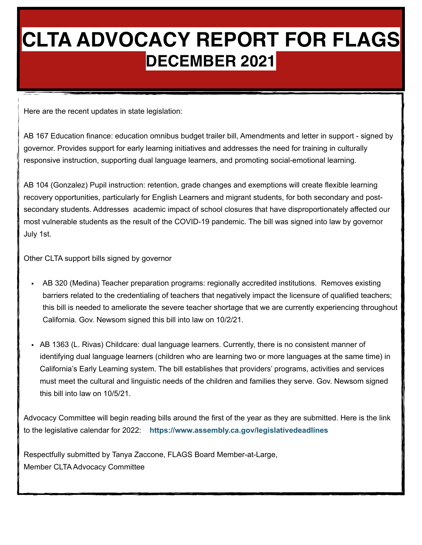### **CLTA ADVOCACY REPORT FOR FLAGS DECEMBER 2021**

Here are the recent updates in state legislation:

AB 167 Education finance: education omnibus budget trailer bill, Amendments and letter in support - signed by governor. Provides support for early learning initiatives and addresses the need for training in culturally responsive instruction, supporting dual language learners, and promoting social-emotional learning.

AB 104 (Gonzalez) Pupil instruction: retention, grade changes and exemptions will create flexible learning recovery opportunities, particularly for English Learners and migrant students, for both secondary and postsecondary students. Addresses academic impact of school closures that have disproportionately affected our most vulnerable students as the result of the COVID-19 pandemic. The bill was signed into law by governor July 1st.

Other CLTA support bills signed by governor

- AB 320 (Medina) Teacher preparation programs: regionally accredited institutions. Removes existing barriers related to the credentialing of teachers that negatively impact the licensure of qualified teachers; this bill is needed to ameliorate the severe teacher shortage that we are currently experiencing throughout California. Gov. Newsom signed this bill into law on 10/2/21.
- AB 1363 (L. Rivas) Childcare: dual language learners. Currently, there is no consistent manner of identifying dual language learners (children who are learning two or more languages at the same time) in California's Early Learning system. The bill establishes that providers' programs, activities and services must meet the cultural and linguistic needs of the children and families they serve. Gov. Newsom signed this bill into law on 10/5/21.

Advocacy Committee will begin reading bills around the first of the year as they are submitted. Here is the link to the legislative calendar for 2022: **<https://www.assembly.ca.gov/legislativedeadlines>**

Respectfully submitted by Tanya Zaccone, FLAGS Board Member-at-Large, Member CLTA Advocacy Committee